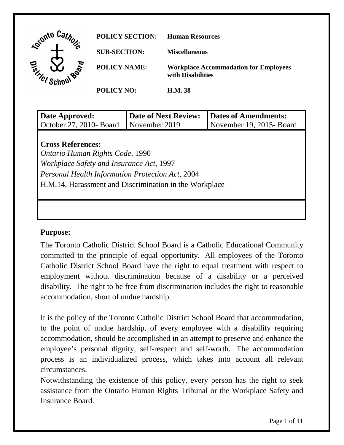

| Date Approved:<br>October 27, 2010- Board                                                                                                                                                                                    | <b>Date of Next Review:</b><br>November 2019 | <b>Dates of Amendments:</b><br>November 19, 2015-Board |  |  |
|------------------------------------------------------------------------------------------------------------------------------------------------------------------------------------------------------------------------------|----------------------------------------------|--------------------------------------------------------|--|--|
| <b>Cross References:</b><br>Ontario Human Rights Code, 1990<br>Workplace Safety and Insurance Act, 1997<br><b>Personal Health Information Protection Act, 2004</b><br>H.M.14, Harassment and Discrimination in the Workplace |                                              |                                                        |  |  |
|                                                                                                                                                                                                                              |                                              |                                                        |  |  |

### **Purpose:**

 committed to the principle of equal opportunity. All employees of the Toronto disability. The right to be free from discrimination includes the right to reasonable accommodation, short of undue hardship. The Toronto Catholic District School Board is a Catholic Educational Community Catholic District School Board have the right to equal treatment with respect to employment without discrimination because of a disability or a perceived

 to the point of undue hardship, of every employee with a disability requiring employee's personal dignity, self-respect and self-worth. The accommodation circumstances. It is the policy of the Toronto Catholic District School Board that accommodation, accommodation, should be accomplished in an attempt to preserve and enhance the process is an individualized process, which takes into account all relevant

 circumstances. Notwithstanding the existence of this policy, every person has the right to seek Insurance Board. assistance from the Ontario Human Rights Tribunal or the Workplace Safety and Insurance Board.<br>Page 1 of 11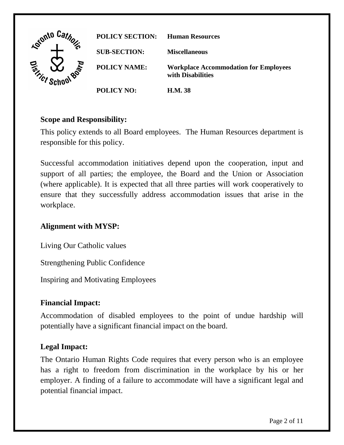

## **Scope and Responsibility:**

This policy extends to all Board employees. The Human Resources department is responsible for this policy.

 workplace. Successful accommodation initiatives depend upon the cooperation, input and support of all parties; the employee, the Board and the Union or Association (where applicable). It is expected that all three parties will work cooperatively to ensure that they successfully address accommodation issues that arise in the

### **Alignment with MYSP:**

Living Our Catholic values

Strengthening Public Confidence

Inspiring and Motivating Employees

#### **Financial Impact:**

Accommodation of disabled employees to the point of undue hardship will potentially have a significant financial impact on the board.

### **Legal Impact:**

The Ontario Human Rights Code requires that every person who is an employee has a right to freedom from discrimination in the workplace by his or her employer. A finding of a failure to accommodate will have a significant legal and potential financial impact.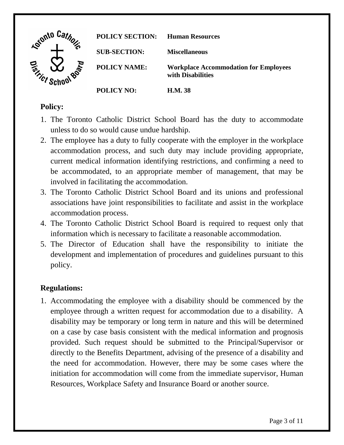

### **Policy:**

- unless to do so would cause undue hardship. 1. The Toronto Catholic District School Board has the duty to accommodate
- involved in facilitating the accommodation. 2. The employee has a duty to fully cooperate with the employer in the workplace accommodation process, and such duty may include providing appropriate, current medical information identifying restrictions, and confirming a need to be accommodated, to an appropriate member of management, that may be
- accommodation process. 3. The Toronto Catholic District School Board and its unions and professional associations have joint responsibilities to facilitate and assist in the workplace
- information which is necessary to facilitate a reasonable accommodation. 4. The Toronto Catholic District School Board is required to request only that
- information which is necessary to facilitate a reasonable accommodation. 5. The Director of Education shall have the responsibility to initiate the policy. development and implementation of procedures and guidelines pursuant to this

# **Regulations:**

 employee through a written request for accommodation due to a disability. A on a case by case basis consistent with the medical information and prognosis provided. Such request should be submitted to the Principal/Supervisor or directly to the Benefits Department, advising of the presence of a disability and the need for accommodation. However, there may be some cases where the 1. Accommodating the employee with a disability should be commenced by the disability may be temporary or long term in nature and this will be determined initiation for accommodation will come from the immediate supervisor, Human Resources, Workplace Safety and Insurance Board or another source.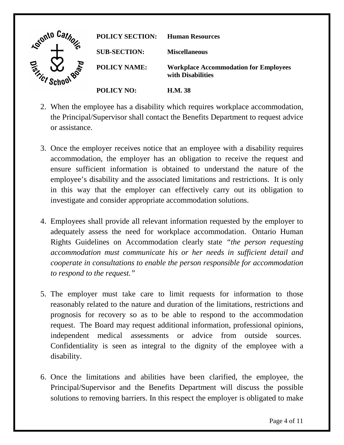

- or assistance. 2. When the employee has a disability which requires workplace accommodation, the Principal/Supervisor shall contact the Benefits Department to request advice
- ensure sufficient information is obtained to understand the nature of the employee's disability and the associated limitations and restrictions. It is only investigate and consider appropriate accommodation solutions. 3. Once the employer receives notice that an employee with a disability requires accommodation, the employer has an obligation to receive the request and in this way that the employer can effectively carry out its obligation to
- adequately assess the need for workplace accommodation. Ontario Human *to respond to the request."* 4. Employees shall provide all relevant information requested by the employer to Rights Guidelines on Accommodation clearly state *"the person requesting accommodation must communicate his or her needs in sufficient detail and cooperate in consultations to enable the person responsible for accommodation*
- reasonably related to the nature and duration of the limitations, restrictions and request. The Board may request additional information, professional opinions, advice from outside sources. disability. 5. The employer must take care to limit requests for information to those prognosis for recovery so as to be able to respond to the accommodation independent medical assessments or advice from outside sources. Confidentiality is seen as integral to the dignity of the employee with a
- 6. Once the limitations and abilities have been clarified, the employee, the Principal/Supervisor and the Benefits Department will discuss the possible solutions to removing barriers. In this respect the employer is obligated to make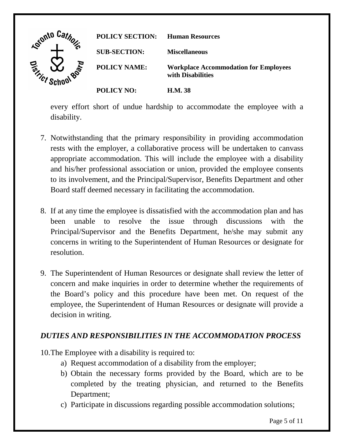| Lotonto Car                      | <b>POLICY SECTION:</b> | <b>Human Resources</b>                                            |
|----------------------------------|------------------------|-------------------------------------------------------------------|
|                                  | <b>SUB-SECTION:</b>    | <b>Miscellaneous</b>                                              |
| <b>Roard</b><br><b>Grificy c</b> | <b>POLICY NAME:</b>    | <b>Workplace Accommodation for Employees</b><br>with Disabilities |
|                                  | <b>POLICY NO:</b>      | <b>H.M. 38</b>                                                    |

disability. every effort short of undue hardship to accommodate the employee with a

- appropriate accommodation. This will include the employee with a disability Board staff deemed necessary in facilitating the accommodation. 7. Notwithstanding that the primary responsibility in providing accommodation rests with the employer, a collaborative process will be undertaken to canvass and his/her professional association or union, provided the employee consents to its involvement, and the Principal/Supervisor, Benefits Department and other
- been unable to resolve the issue through discussions with the 8. If at any time the employee is dissatisfied with the accommodation plan and has Principal/Supervisor and the Benefits Department, he/she may submit any concerns in writing to the Superintendent of Human Resources or designate for resolution.
- the Board's policy and this procedure have been met. On request of the decision in writing. 9. The Superintendent of Human Resources or designate shall review the letter of concern and make inquiries in order to determine whether the requirements of employee, the Superintendent of Human Resources or designate will provide a

# *DUTIES AND RESPONSIBILITIES IN THE ACCOMMODATION PROCESS*

- 10. The Employee with a disability is required to:
	- a) Request accommodation of a disability from the employer;
	- Department; b) Obtain the necessary forms provided by the Board, which are to be completed by the treating physician, and returned to the Benefits
	- Department;<br>c) Participate in discussions regarding possible accommodation solutions;<br>Page 5 of 11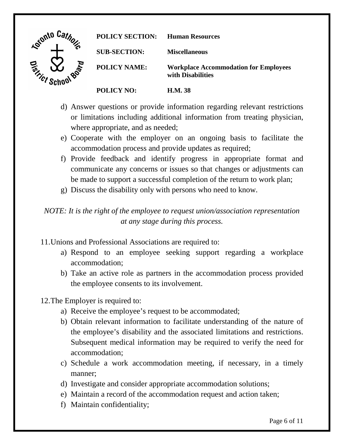

- d) Answer questions or provide information regarding relevant restrictions where appropriate, and as needed; or limitations including additional information from treating physician,
- accommodation process and provide updates as required; e) Cooperate with the employer on an ongoing basis to facilitate the
- communicate any concerns or issues so that changes or adjustments can be made to support a successful completion of the return to work plan; g) Discuss the disability only with persons who need to know. f) Provide feedback and identify progress in appropriate format and
- g) Discuss the disability only with persons who need to know.

*NOTE: It is the right of the employee to request union/association representation at any stage during this process.* 

- 11. Unions and Professional Associations are required to:
- 11.Unions and Professional Associations are required to: a) Respond to an employee seeking support regarding a workplace accommodation; accommodation; b) Take an active role as partners in the accommodation process provided
	- the employee consents to its involvement.
- 12. The Employer is required to:
	- a) Receive the employee's request to be accommodated;
- the employee consents to its involvement.<br>
12. The Employer is required to:<br>
a) Receive the employee's request to be accommodated;<br>
b) Obtain relevant information to facilitate understanding of the nature of accommodation: the employee's disability and the associated limitations and restrictions. Subsequent medical information may be required to verify the need for
	- accommodation; c) Schedule a work accommodation meeting, if necessary, in a timely manner: manner;<br>
	d) Investigate and consider appropriate accommodation solutions;<br>
	e) Maintain a record of the accommodation request and action taken;<br>
	f) Maintain confidentiality;<br>
	Page 6 of 11
	- d) Investigate and consider appropriate accommodation solutions;
	-
	- f) Maintain confidentiality;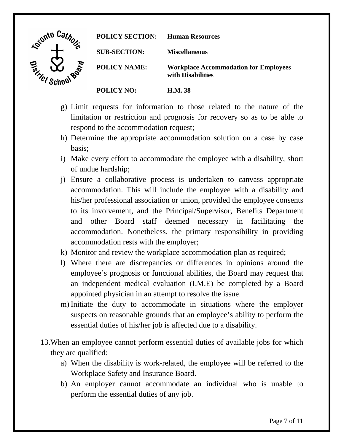

**POLICY SECTION: Human Resources SUB-SECTION: Miscellaneous POLICY NAME: Workplace Accommodation for Employees with Disabilities POLICY NO: H.M. 38** 

- g) Limit requests for information to those related to the nature of the limitation or restriction and prognosis for recovery so as to be able to respond to the accommodation request;
- basis; h) Determine the appropriate accommodation solution on a case by case
- of undue hardship; i) Make every effort to accommodate the employee with a disability, short
- accommodation. This will include the employee with a disability and accommodation rests with the employer; i) Ensure a collaborative process is undertaken to canvass appropriate his/her professional association or union, provided the employee consents to its involvement, and the Principal/Supervisor, Benefits Department and other Board staff deemed necessary in facilitating the accommodation. Nonetheless, the primary responsibility in providing
- k) Monitor and review the workplace accommodation plan as required;
- l) Where there are discrepancies or differences in opinions around the employee's prognosis or functional abilities, the Board may request that an independent medical evaluation (I.M.E) be completed by a Board appointed physician in an attempt to resolve the issue.
- m) Initiate the duty to accommodate in situations where the employer suspects on reasonable grounds that an employee's ability to perform the essential duties of his/her job is affected due to a disability.
- they are qualified: 13.When an employee cannot perform essential duties of available jobs for which
	- they are qualified: a) When the disability is work-related, the employee will be referred to the Workplace Safety and Insurance Board.
		- Workplace Safety and Insurance Board. b) An employer cannot accommodate an individual who is unable to perform the essential duties of any job.<br>Page 7 of 11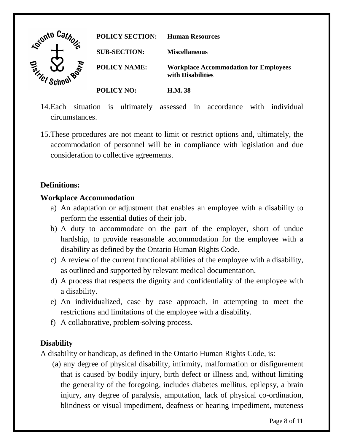

- 14.Each situation is ultimately assessed in accordance with individual circumstances.
- consideration to collective agreements. 15.These procedures are not meant to limit or restrict options and, ultimately, the accommodation of personnel will be in compliance with legislation and due

# **Definitions:**

## **Workplace Accommodation**

- perform the essential duties of their job. a) An adaptation or adjustment that enables an employee with a disability to
- perform the essential duties of their job. b) A duty to accommodate on the part of the employer, short of undue hardship, to provide reasonable accommodation for the employee with a disability as defined by the Ontario Human Rights Code.
- disability as defined by the Ontario Human Rights Code. c) A review of the current functional abilities of the employee with a disability, as outlined and supported by relevant medical documentation.
- d) A process that respects the dignity and confidentiality of the employee with a disability.
- e) An individualized, case by case approach, in attempting to meet the restrictions and limitations of the employee with a disability. f) A collaborative, problem-solving process.
- f) A collaborative, problem-solving process.

# **Disability**

A disability or handicap, as defined in the Ontario Human Rights Code, is:

 the generality of the foregoing, includes diabetes mellitus, epilepsy, a brain blindness or visual impediment, deafness or hearing impediment, muteness (a) any degree of physical disability, infirmity, malformation or disfigurement that is caused by bodily injury, birth defect or illness and, without limiting injury, any degree of paralysis, amputation, lack of physical co-ordination,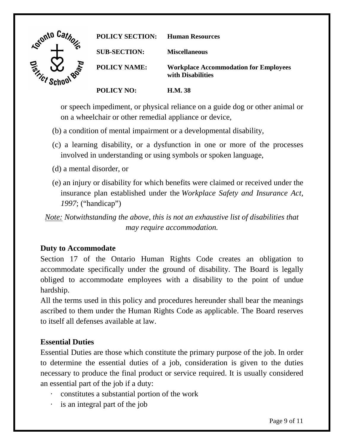

 or speech impediment, or physical reliance on a guide dog or other animal or on a wheelchair or other remedial appliance or device,

- (b) a condition of mental impairment or a developmental disability,
- (c) a learning disability, or a dysfunction in one or more of the processes involved in understanding or using symbols or spoken language,
- (d) a mental disorder, or
- (e) an injury or disability for which benefits were claimed or received under the insurance plan established under the *Workplace Safety and Insurance Act, 1997*; ("handicap")

*Note: Notwithstanding the above, this is not an exhaustive list of disabilities that may require accommodation.* 

### **Duty to Accommodate**

hardship. Section 17 of the Ontario Human Rights Code creates an obligation to accommodate specifically under the ground of disability. The Board is legally obliged to accommodate employees with a disability to the point of undue

 to itself all defenses available at law. All the terms used in this policy and procedures hereunder shall bear the meanings ascribed to them under the Human Rights Code as applicable. The Board reserves

### **Essential Duties**

an essential part of the job if a duty: Essential Duties are those which constitute the primary purpose of the job. In order to determine the essential duties of a job, consideration is given to the duties necessary to produce the final product or service required. It is usually considered

- constitutes a substantial portion of the work
- · is an integral part of the job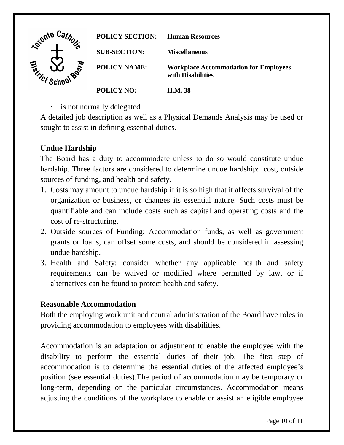

is not normally delegated

 sought to assist in defining essential duties. A detailed job description as well as a Physical Demands Analysis may be used or

# **Undue Hardship**

 The Board has a duty to accommodate unless to do so would constitute undue hardship. Three factors are considered to determine undue hardship: cost, outside sources of funding, and health and safety.

- organization or business, or changes its essential nature. Such costs must be quantifiable and can include costs such as capital and operating costs and the cost of re-structuring. 1. Costs may amount to undue hardship if it is so high that it affects survival of the
- grants or loans, can offset some costs, and should be considered in assessing undue hardship. 2. Outside sources of Funding: Accommodation funds, as well as government
- requirements can be waived or modified where permitted by law, or if alternatives can be found to protect health and safety. 3. Health and Safety: consider whether any applicable health and safety

### **Reasonable Accommodation**

 Both the employing work unit and central administration of the Board have roles in providing accommodation to employees with disabilities.

 accommodation is to determine the essential duties of the affected employee's long-term, depending on the particular circumstances. Accommodation means Accommodation is an adaptation or adjustment to enable the employee with the disability to perform the essential duties of their job. The first step of position (see essential duties).The period of accommodation may be temporary or adjusting the conditions of the workplace to enable or assist an eligible employee